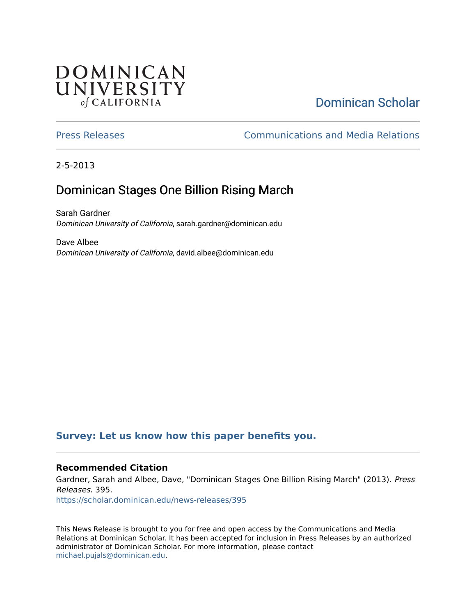# **DOMINICAN** UNIVERSITY of CALIFORNIA

# [Dominican Scholar](https://scholar.dominican.edu/)

[Press Releases](https://scholar.dominican.edu/news-releases) [Communications and Media Relations](https://scholar.dominican.edu/communications-media) 

2-5-2013

# Dominican Stages One Billion Rising March

Sarah Gardner Dominican University of California, sarah.gardner@dominican.edu

Dave Albee Dominican University of California, david.albee@dominican.edu

## **[Survey: Let us know how this paper benefits you.](https://dominican.libwizard.com/dominican-scholar-feedback)**

## **Recommended Citation**

Gardner, Sarah and Albee, Dave, "Dominican Stages One Billion Rising March" (2013). Press Releases. 395.

[https://scholar.dominican.edu/news-releases/395](https://scholar.dominican.edu/news-releases/395?utm_source=scholar.dominican.edu%2Fnews-releases%2F395&utm_medium=PDF&utm_campaign=PDFCoverPages)

This News Release is brought to you for free and open access by the Communications and Media Relations at Dominican Scholar. It has been accepted for inclusion in Press Releases by an authorized administrator of Dominican Scholar. For more information, please contact [michael.pujals@dominican.edu.](mailto:michael.pujals@dominican.edu)